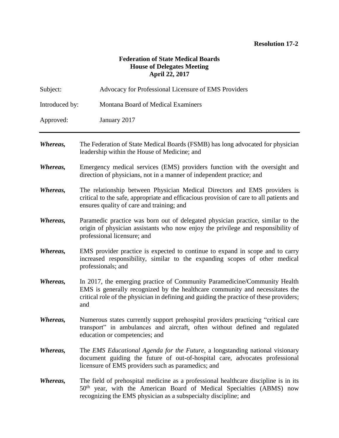## **Resolution 17-2**

## **Federation of State Medical Boards House of Delegates Meeting April 22, 2017**

| Subject:       | Advocacy for Professional Licensure of EMS Providers                                                                                                                                                                                                        |
|----------------|-------------------------------------------------------------------------------------------------------------------------------------------------------------------------------------------------------------------------------------------------------------|
| Introduced by: | Montana Board of Medical Examiners                                                                                                                                                                                                                          |
| Approved:      | January 2017                                                                                                                                                                                                                                                |
| Whereas,       | The Federation of State Medical Boards (FSMB) has long advocated for physician<br>leadership within the House of Medicine; and                                                                                                                              |
| Whereas,       | Emergency medical services (EMS) providers function with the oversight and<br>direction of physicians, not in a manner of independent practice; and                                                                                                         |
| Whereas,       | The relationship between Physician Medical Directors and EMS providers is<br>critical to the safe, appropriate and efficacious provision of care to all patients and<br>ensures quality of care and training; and                                           |
| Whereas,       | Paramedic practice was born out of delegated physician practice, similar to the<br>origin of physician assistants who now enjoy the privilege and responsibility of<br>professional licensure; and                                                          |
| Whereas,       | EMS provider practice is expected to continue to expand in scope and to carry<br>increased responsibility, similar to the expanding scopes of other medical<br>professionals; and                                                                           |
| Whereas,       | In 2017, the emerging practice of Community Paramedicine/Community Health<br>EMS is generally recognized by the healthcare community and necessitates the<br>critical role of the physician in defining and guiding the practice of these providers;<br>and |
| Whereas,       | Numerous states currently support prehospital providers practicing "critical care<br>transport" in ambulances and aircraft, often without defined and regulated<br>education or competencies; and                                                           |
| Whereas,       | The <i>EMS Educational Agenda for the Future</i> , a longstanding national visionary<br>document guiding the future of out-of-hospital care, advocates professional<br>licensure of EMS providers such as paramedics; and                                   |
| Whereas,       | The field of prehospital medicine as a professional healthcare discipline is in its<br>50 <sup>th</sup> year, with the American Board of Medical Specialties (ABMS) now<br>recognizing the EMS physician as a subspecialty discipline; and                  |